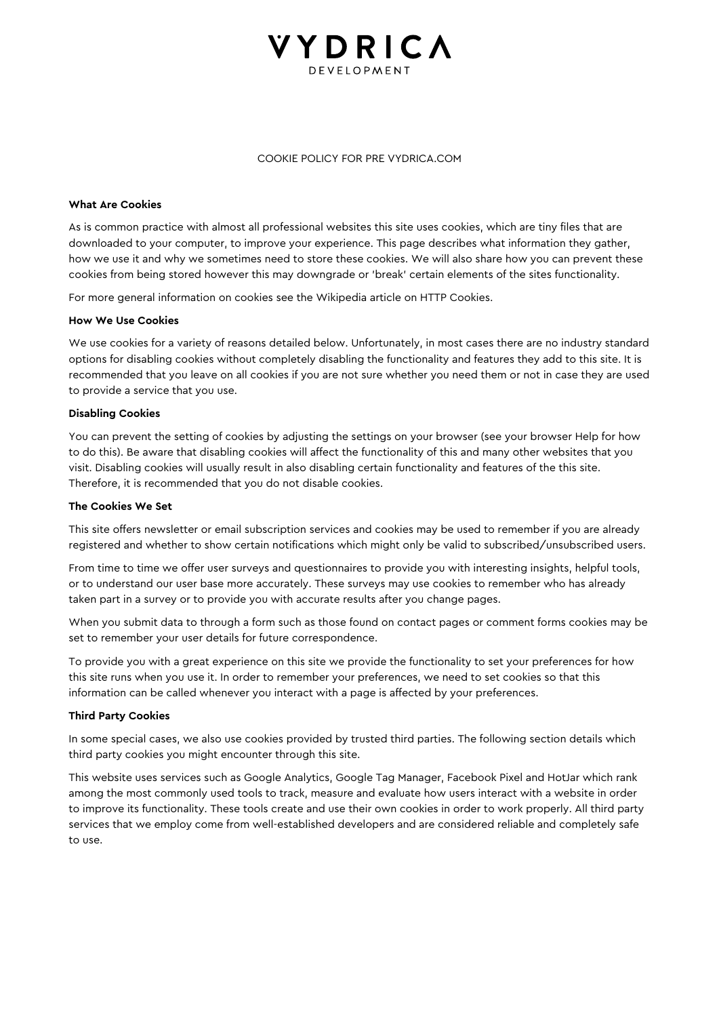# **VYDRICA**

#### COOKIE POLICY FOR PRE VYDRICA.COM

#### **What Are Cookies**

As is common practice with almost all professional websites this site uses cookies, which are tiny files that are downloaded to your computer, to improve your experience. This page describes what information they gather, how we use it and why we sometimes need to store these cookies. We will also share how you can prevent these cookies from being stored however this may downgrade or 'break' certain elements of the sites functionality.

For more general information on cookies see the Wikipedia article on HTTP Cookies.

#### **How We Use Cookies**

We use cookies for a variety of reasons detailed below. Unfortunately, in most cases there are no industry standard options for disabling cookies without completely disabling the functionality and features they add to this site. It is recommended that you leave on all cookies if you are not sure whether you need them or not in case they are used to provide a service that you use.

#### **Disabling Cookies**

You can prevent the setting of cookies by adjusting the settings on your browser (see your browser Help for how to do this). Be aware that disabling cookies will affect the functionality of this and many other websites that you visit. Disabling cookies will usually result in also disabling certain functionality and features of the this site. Therefore, it is recommended that you do not disable cookies.

#### **The Cookies We Set**

This site offers newsletter or email subscription services and cookies may be used to remember if you are already registered and whether to show certain notifications which might only be valid to subscribed/unsubscribed users.

From time to time we offer user surveys and questionnaires to provide you with interesting insights, helpful tools, or to understand our user base more accurately. These surveys may use cookies to remember who has already taken part in a survey or to provide you with accurate results after you change pages.

When you submit data to through a form such as those found on contact pages or comment forms cookies may be set to remember your user details for future correspondence.

To provide you with a great experience on this site we provide the functionality to set your preferences for how this site runs when you use it. In order to remember your preferences, we need to set cookies so that this information can be called whenever you interact with a page is affected by your preferences.

#### **Third Party Cookies**

In some special cases, we also use cookies provided by trusted third parties. The following section details which third party cookies you might encounter through this site.

This website uses services such as Google Analytics, Google Tag Manager, Facebook Pixel and HotJar which rank among the most commonly used tools to track, measure and evaluate how users interact with a website in order to improve its functionality. These tools create and use their own cookies in order to work properly. All third party services that we employ come from well-established developers and are considered reliable and completely safe to use.